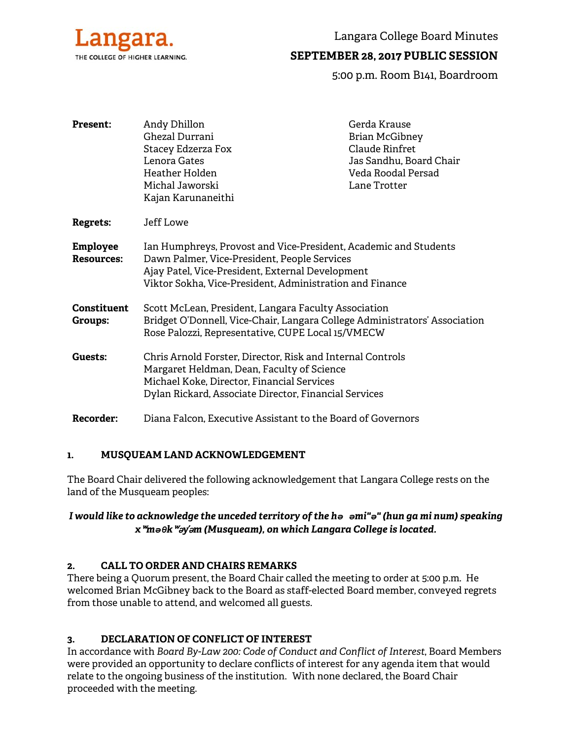

Langara College Board Minutes

# **SEPTEMBER 28, 2017 PUBLIC SESSION**

5:00 p.m. Room B141, Boardroom

| <b>Present:</b>                      | Andy Dhillon<br>Ghezal Durrani<br>Stacey Edzerza Fox<br>Lenora Gates<br>Heather Holden<br>Michal Jaworski<br>Kajan Karunaneithi                                                                                                  | Gerda Krause<br><b>Brian McGibney</b><br>Claude Rinfret<br>Jas Sandhu, Board Chair<br>Veda Roodal Persad<br>Lane Trotter |
|--------------------------------------|----------------------------------------------------------------------------------------------------------------------------------------------------------------------------------------------------------------------------------|--------------------------------------------------------------------------------------------------------------------------|
| <b>Regrets:</b>                      | Jeff Lowe                                                                                                                                                                                                                        |                                                                                                                          |
| <b>Employee</b><br><b>Resources:</b> | Ian Humphreys, Provost and Vice-President, Academic and Students<br>Dawn Palmer, Vice-President, People Services<br>Ajay Patel, Vice-President, External Development<br>Viktor Sokha, Vice-President, Administration and Finance |                                                                                                                          |
| <b>Constituent</b><br>Groups:        | Scott McLean, President, Langara Faculty Association<br>Bridget O'Donnell, Vice-Chair, Langara College Administrators' Association<br>Rose Palozzi, Representative, CUPE Local 15/VMECW                                          |                                                                                                                          |
| Guests:                              | Chris Arnold Forster, Director, Risk and Internal Controls<br>Margaret Heldman, Dean, Faculty of Science<br>Michael Koke, Director, Financial Services<br>Dylan Rickard, Associate Director, Financial Services                  |                                                                                                                          |
| Recorder:                            | Diana Falcon, Executive Assistant to the Board of Governors                                                                                                                                                                      |                                                                                                                          |

### **1. MUSQUEAM LAND ACKNOWLEDGEMENT**

The Board Chair delivered the following acknowledgement that Langara College rests on the land of the Musqueam peoples:

### *I would like to acknowledge the unceded territory of the hә әmi"ә" (hun ga mi num) speaking x*ʷ*mәθk*ʷə*y*̓ə*m (Musqueam), on which Langara College is located.*

### **2. CALL TO ORDER AND CHAIRS REMARKS**

There being a Quorum present, the Board Chair called the meeting to order at 5:00 p.m. He welcomed Brian McGibney back to the Board as staff-elected Board member, conveyed regrets from those unable to attend, and welcomed all guests.

### **3. DECLARATION OF CONFLICT OF INTEREST**

In accordance with *Board By-Law 200: Code of Conduct and Conflict of Interest*, Board Members were provided an opportunity to declare conflicts of interest for any agenda item that would relate to the ongoing business of the institution. With none declared, the Board Chair proceeded with the meeting.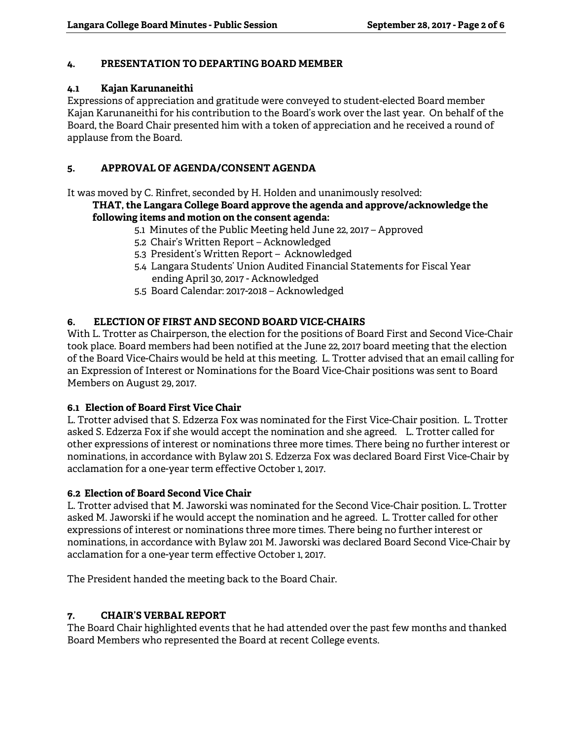# **4. PRESENTATION TO DEPARTING BOARD MEMBER**

### **4.1 Kajan Karunaneithi**

Expressions of appreciation and gratitude were conveyed to student-elected Board member Kajan Karunaneithi for his contribution to the Board's work over the last year. On behalf of the Board, the Board Chair presented him with a token of appreciation and he received a round of applause from the Board.

## **5. APPROVAL OF AGENDA/CONSENT AGENDA**

It was moved by C. Rinfret, seconded by H. Holden and unanimously resolved:

#### **THAT, the Langara College Board approve the agenda and approve/acknowledge the following items and motion on the consent agenda:**

- 5.1 Minutes of the Public Meeting held June 22, 2017 Approved
- 5.2 Chair's Written Report Acknowledged
- 5.3 President's Written Report Acknowledged
- 5.4 Langara Students' Union Audited Financial Statements for Fiscal Year ending April 30, 2017 - Acknowledged
- 5.5 Board Calendar: 2017-2018 Acknowledged

# **6. ELECTION OF FIRST AND SECOND BOARD VICE-CHAIRS**

With L. Trotter as Chairperson, the election for the positions of Board First and Second Vice-Chair took place. Board members had been notified at the June 22, 2017 board meeting that the election of the Board Vice-Chairs would be held at this meeting. L. Trotter advised that an email calling for an Expression of Interest or Nominations for the Board Vice-Chair positions was sent to Board Members on August 29, 2017.

### **6.1 Election of Board First Vice Chair**

L. Trotter advised that S. Edzerza Fox was nominated for the First Vice-Chair position. L. Trotter asked S. Edzerza Fox if she would accept the nomination and she agreed. L. Trotter called for other expressions of interest or nominations three more times. There being no further interest or nominations, in accordance with Bylaw 201 S. Edzerza Fox was declared Board First Vice-Chair by acclamation for a one-year term effective October 1, 2017.

### **6.2 Election of Board Second Vice Chair**

L. Trotter advised that M. Jaworski was nominated for the Second Vice-Chair position. L. Trotter asked M. Jaworski if he would accept the nomination and he agreed. L. Trotter called for other expressions of interest or nominations three more times. There being no further interest or nominations, in accordance with Bylaw 201 M. Jaworski was declared Board Second Vice-Chair by acclamation for a one-year term effective October 1, 2017.

The President handed the meeting back to the Board Chair.

### **7. CHAIR'S VERBAL REPORT**

The Board Chair highlighted events that he had attended over the past few months and thanked Board Members who represented the Board at recent College events.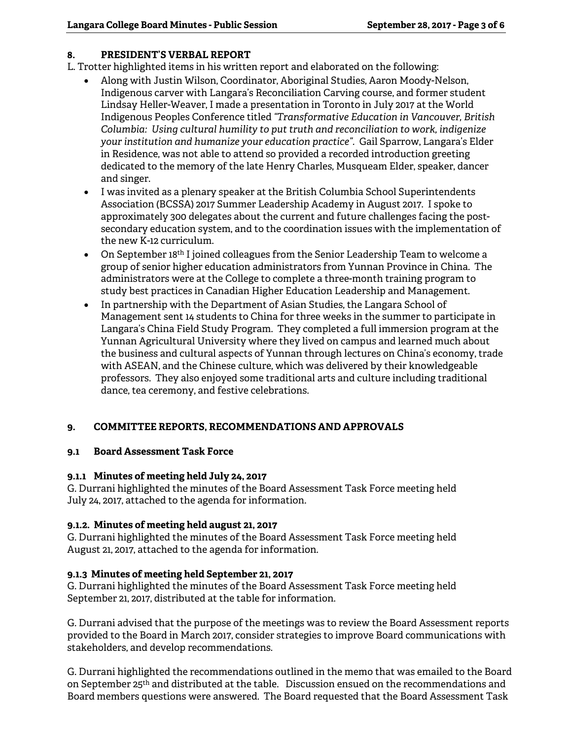# **8. PRESIDENT'S VERBAL REPORT**

L. Trotter highlighted items in his written report and elaborated on the following:

- Along with Justin Wilson, Coordinator, Aboriginal Studies, Aaron Moody-Nelson, Indigenous carver with Langara's Reconciliation Carving course, and former student Lindsay Heller-Weaver, I made a presentation in Toronto in July 2017 at the World Indigenous Peoples Conference titled *"Transformative Education in Vancouver, British Columbia: Using cultural humility to put truth and reconciliation to work, indigenize your institution and humanize your education practice".* Gail Sparrow, Langara's Elder in Residence, was not able to attend so provided a recorded introduction greeting dedicated to the memory of the late Henry Charles, Musqueam Elder, speaker, dancer and singer.
- I was invited as a plenary speaker at the British Columbia School Superintendents Association (BCSSA) 2017 Summer Leadership Academy in August 2017. I spoke to approximately 300 delegates about the current and future challenges facing the postsecondary education system, and to the coordination issues with the implementation of the new K-12 curriculum.
- On September 18<sup>th</sup> I joined colleagues from the Senior Leadership Team to welcome a group of senior higher education administrators from Yunnan Province in China. The administrators were at the College to complete a three-month training program to study best practices in Canadian Higher Education Leadership and Management.
- In partnership with the Department of Asian Studies, the Langara School of Management sent 14 students to China for three weeks in the summer to participate in Langara's China Field Study Program. They completed a full immersion program at the Yunnan Agricultural University where they lived on campus and learned much about the business and cultural aspects of Yunnan through lectures on China's economy, trade with ASEAN, and the Chinese culture, which was delivered by their knowledgeable professors. They also enjoyed some traditional arts and culture including traditional dance, tea ceremony, and festive celebrations.

### **9. COMMITTEE REPORTS, RECOMMENDATIONS AND APPROVALS**

### **9.1 Board Assessment Task Force**

### **9.1.1 Minutes of meeting held July 24, 2017**

G. Durrani highlighted the minutes of the Board Assessment Task Force meeting held July 24, 2017, attached to the agenda for information.

### **9.1.2. Minutes of meeting held august 21, 2017**

G. Durrani highlighted the minutes of the Board Assessment Task Force meeting held August 21, 2017, attached to the agenda for information.

### **9.1.3 Minutes of meeting held September 21, 2017**

G. Durrani highlighted the minutes of the Board Assessment Task Force meeting held September 21, 2017, distributed at the table for information.

G. Durrani advised that the purpose of the meetings was to review the Board Assessment reports provided to the Board in March 2017, consider strategies to improve Board communications with stakeholders, and develop recommendations.

G. Durrani highlighted the recommendations outlined in the memo that was emailed to the Board on September 25th and distributed at the table. Discussion ensued on the recommendations and Board members questions were answered. The Board requested that the Board Assessment Task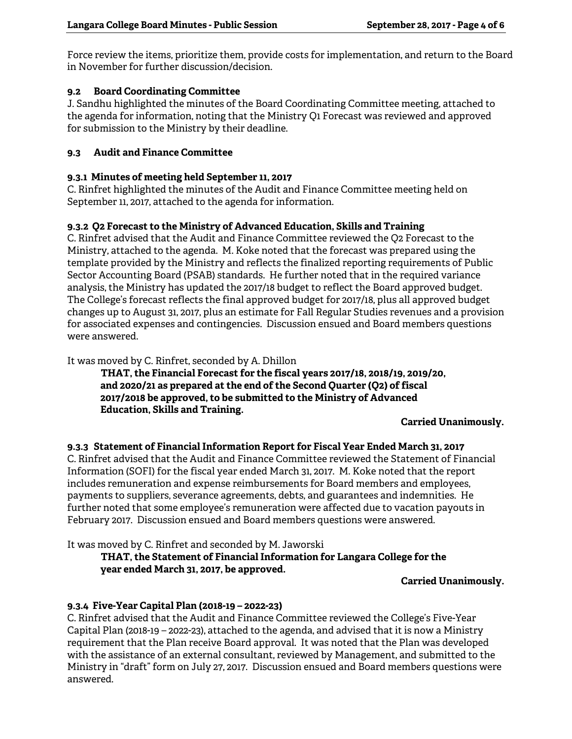Force review the items, prioritize them, provide costs for implementation, and return to the Board in November for further discussion/decision.

## **9.2 Board Coordinating Committee**

J. Sandhu highlighted the minutes of the Board Coordinating Committee meeting, attached to the agenda for information, noting that the Ministry Q1 Forecast was reviewed and approved for submission to the Ministry by their deadline.

### **9.3 Audit and Finance Committee**

## **9.3.1 Minutes of meeting held September 11, 2017**

C. Rinfret highlighted the minutes of the Audit and Finance Committee meeting held on September 11, 2017, attached to the agenda for information.

# **9.3.2 Q2 Forecast to the Ministry of Advanced Education, Skills and Training**

C. Rinfret advised that the Audit and Finance Committee reviewed the Q2 Forecast to the Ministry, attached to the agenda. M. Koke noted that the forecast was prepared using the template provided by the Ministry and reflects the finalized reporting requirements of Public Sector Accounting Board (PSAB) standards. He further noted that in the required variance analysis, the Ministry has updated the 2017/18 budget to reflect the Board approved budget. The College's forecast reflects the final approved budget for 2017/18, plus all approved budget changes up to August 31, 2017, plus an estimate for Fall Regular Studies revenues and a provision for associated expenses and contingencies. Discussion ensued and Board members questions were answered.

It was moved by C. Rinfret, seconded by A. Dhillon

**THAT, the Financial Forecast for the fiscal years 2017/18, 2018/19, 2019/20, and 2020/21 as prepared at the end of the Second Quarter (Q2) of fiscal 2017/2018 be approved, to be submitted to the Ministry of Advanced Education, Skills and Training.** 

### **Carried Unanimously.**

### **9.3.3 Statement of Financial Information Report for Fiscal Year Ended March 31, 2017**

C. Rinfret advised that the Audit and Finance Committee reviewed the Statement of Financial Information (SOFI) for the fiscal year ended March 31, 2017. M. Koke noted that the report includes remuneration and expense reimbursements for Board members and employees, payments to suppliers, severance agreements, debts, and guarantees and indemnities. He further noted that some employee's remuneration were affected due to vacation payouts in February 2017. Discussion ensued and Board members questions were answered.

It was moved by C. Rinfret and seconded by M. Jaworski

### **THAT, the Statement of Financial Information for Langara College for the year ended March 31, 2017, be approved.**

### **Carried Unanimously.**

### **9.3.4 Five-Year Capital Plan (2018-19 – 2022-23)**

C. Rinfret advised that the Audit and Finance Committee reviewed the College's Five-Year Capital Plan (2018-19 – 2022-23), attached to the agenda, and advised that it is now a Ministry requirement that the Plan receive Board approval. It was noted that the Plan was developed with the assistance of an external consultant, reviewed by Management, and submitted to the Ministry in "draft" form on July 27, 2017. Discussion ensued and Board members questions were answered.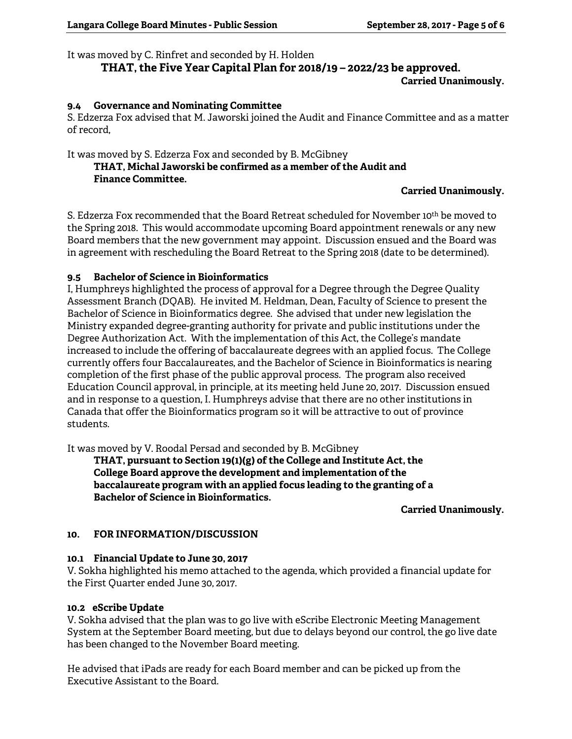#### It was moved by C. Rinfret and seconded by H. Holden

# **THAT, the Five Year Capital Plan for 2018/19 – 2022/23 be approved. Carried Unanimously.**

#### **9.4 Governance and Nominating Committee**

S. Edzerza Fox advised that M. Jaworski joined the Audit and Finance Committee and as a matter of record,

#### It was moved by S. Edzerza Fox and seconded by B. McGibney  **THAT, Michal Jaworski be confirmed as a member of the Audit and Finance Committee.**

### **Carried Unanimously.**

S. Edzerza Fox recommended that the Board Retreat scheduled for November 10th be moved to the Spring 2018. This would accommodate upcoming Board appointment renewals or any new Board members that the new government may appoint. Discussion ensued and the Board was in agreement with rescheduling the Board Retreat to the Spring 2018 (date to be determined).

# **9.5 Bachelor of Science in Bioinformatics**

I, Humphreys highlighted the process of approval for a Degree through the Degree Quality Assessment Branch (DQAB). He invited M. Heldman, Dean, Faculty of Science to present the Bachelor of Science in Bioinformatics degree. She advised that under new legislation the Ministry expanded degree-granting authority for private and public institutions under the Degree Authorization Act. With the implementation of this Act, the College's mandate increased to include the offering of baccalaureate degrees with an applied focus. The College currently offers four Baccalaureates, and the Bachelor of Science in Bioinformatics is nearing completion of the first phase of the public approval process. The program also received Education Council approval, in principle, at its meeting held June 20, 2017. Discussion ensued and in response to a question, I. Humphreys advise that there are no other institutions in Canada that offer the Bioinformatics program so it will be attractive to out of province students.

It was moved by V. Roodal Persad and seconded by B. McGibney

**THAT, pursuant to Section 19(1)(g) of the College and Institute Act, the College Board approve the development and implementation of the baccalaureate program with an applied focus leading to the granting of a Bachelor of Science in Bioinformatics.** 

**Carried Unanimously.** 

### **10. FOR INFORMATION/DISCUSSION**

#### **10.1 Financial Update to June 30, 2017**

V. Sokha highlighted his memo attached to the agenda, which provided a financial update for the First Quarter ended June 30, 2017.

#### **10.2 eScribe Update**

V. Sokha advised that the plan was to go live with eScribe Electronic Meeting Management System at the September Board meeting, but due to delays beyond our control, the go live date has been changed to the November Board meeting.

He advised that iPads are ready for each Board member and can be picked up from the Executive Assistant to the Board.